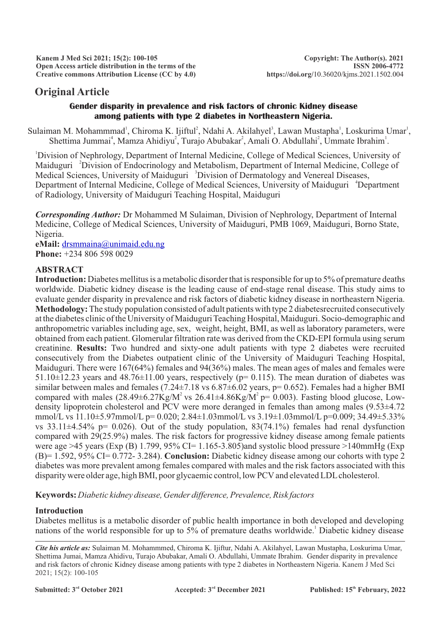# **Original Article**

### **Gender disparity in prevalence and risk factors of chronic Kidney disease among patients with type 2 diabetes in Northeastern Nigeria.**

Sulaiman M. Mohammmad<sup>1</sup>, Chiroma K. Ijiftul<sup>2</sup>, Ndahi A. Akilahyel<sup>3</sup>, Lawan Mustapha<sup>1</sup>, Loskurima Umar<sup>1</sup>, Shettima Jummai<sup>4</sup>, Mamza Ahidiyu<sup>2</sup>, Turajo Abubakar<sup>2</sup>, Amali O. Abdullahi<sup>2</sup>, Ummate Ibrahim<sup>1</sup>.

<sup>1</sup>Division of Nephrology, Department of Internal Medicine, College of Medical Sciences, University of Maiduguri <sup>2</sup> Division of Endocrinology and Metabolism, Department of Internal Medicine, College of Medical Sciences, University of Maiduguri <sup>3</sup>Division of Dermatology and Venereal Diseases, Department of Internal Medicine, College of Medical Sciences, University of Maiduguri <sup>4</sup>Department of Radiology, University of Maiduguri Teaching Hospital, Maiduguri

*Corresponding Author:* Dr Mohammed M Sulaiman, Division of Nephrology, Department of Internal Medicine, College of Medical Sciences, University of Maiduguri, PMB 1069, Maiduguri, Borno State, Nigeria.

**eMail:** [drsmmaina@unimaid.edu.ng](mailto:drsmmaina@unimaid.edu.ng) **Phone:** +234 806 598 0029

### **ABSTRACT**

**Introduction:** Diabetes mellitus is a metabolic disorder that is responsible for up to 5% of premature deaths worldwide. Diabetic kidney disease is the leading cause of end-stage renal disease. This study aims to evaluate gender disparity in prevalence and risk factors of diabetic kidney disease in northeastern Nigeria. **Methodology:** The study population consisted of adult patients with type 2 diabetesrecruited consecutively at the diabetes clinic of the University of Maiduguri Teaching Hospital, Maiduguri. Socio-demographic and anthropometric variables including age, sex, weight, height, BMI, as well as laboratory parameters, were obtained from each patient. Glomerular filtration rate was derived from the CKD-EPI formula using serum creatinine. **Results:** Two hundred and sixty-one adult patients with type 2 diabetes were recruited consecutively from the Diabetes outpatient clinic of the University of Maiduguri Teaching Hospital, Maiduguri. There were 167(64%) females and 94(36%) males. The mean ages of males and females were 51.10 $\pm$ 12.23 years and 48.76 $\pm$ 11.00 years, respectively (p= 0.115). The mean duration of diabetes was similar between males and females (7.24±7.18 vs 6.87±6.02 years, p= 0.652). Females had a higher BMI compared with males  $(28.49\pm6.27\text{Kg/M}^2\text{ vs } 26.41\pm4.86\text{Kg/M}^2\text{ p}= 0.003)$ . Fasting blood glucose, Lowdensity lipoprotein cholesterol and PCV were more deranged in females than among males (9.53±4.72 mmol/L vs 11.10±5.97mmol/L p= 0.020; 2.84±1.03mmol/L vs 3.19±1.03mmol/L p=0.009; 34.49±5.33% vs 33.11 $\pm$ 4.54% p= 0.026). Out of the study population, 83(74.1%) females had renal dysfunction compared with 29(25.9%) males. The risk factors for progressive kidney disease among female patients were age >45 years (Exp (B) 1.799, 95% CI= 1.165-3.805)and systolic blood pressure >140mmHg (Exp (B)= 1.592, 95% CI= 0.772- 3.284). **Conclusion:** Diabetic kidney disease among our cohorts with type 2 diabetes was more prevalent among females compared with males and the risk factors associated with this disparity were older age, high BMI, poor glycaemic control, low PCV and elevated LDL cholesterol.

**Keywords:** *Diabetic kidney disease, Gender difference, Prevalence, Risk factors*

### **Introduction**

Diabetes mellitus is a metabolic disorder of public health importance in both developed and developing nations of the world responsible for up to 5% of premature deaths worldwide.<sup>1</sup> Diabetic kidney disease

*Cite his article as:* Sulaiman M. Mohammmed, Chiroma K. Ijiftur, Ndahi A. Akilahyel, Lawan Mustapha, Loskurima Umar, Shettima Jumai, Mamza Ahidivu, Turajo Abubakar, Amali O. Abdullahi, Ummate Ibrahim. Gender disparity in prevalence and risk factors of chronic Kidney disease among patients with type 2 diabetes in Northeastern Nigeria. Kanem J Med Sci 2021; 15(2): 100-105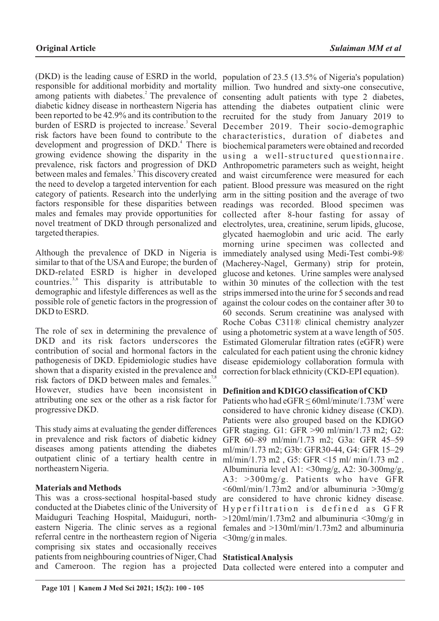(DKD) is the leading cause of ESRD in the world, responsible for additional morbidity and mortality among patients with diabetes.<sup>2</sup> The prevalence of diabetic kidney disease in northeastern Nigeria has been reported to be 42.9% and its contribution to the burden of ESRD is projected to increase.<sup>3</sup> Several risk factors have been found to contribute to the development and progression of DKD.<sup>4</sup> There is growing evidence showing the disparity in the prevalence, risk factors and progression of DKD between males and females.<sup>5</sup> This discovery created the need to develop a targeted intervention for each category of patients. Research into the underlying factors responsible for these disparities between males and females may provide opportunities for novel treatment of DKD through personalized and targeted therapies.

Although the prevalence of DKD in Nigeria is similar to that of the USA and Europe; the burden of DKD-related ESRD is higher in developed countries.<sup>3,6</sup> This disparity is attributable to demographic and lifestyle differences as well as the possible role of genetic factors in the progression of DKD to ESRD.

The role of sex in determining the prevalence of DKD and its risk factors underscores the contribution of social and hormonal factors in the pathogenesis of DKD. Epidemiologic studies have shown that a disparity existed in the prevalence and risk factors of DKD between males and females.<sup>7</sup> However, studies have been inconsistent in **Definition and KDIGO classification of CKD** attributing one sex or the other as a risk factor for Patients who had  $eGFR \le 60$ ml/minute/1.73M<sup>2</sup> were progressive DKD.

This study aims at evaluating the gender differences in prevalence and risk factors of diabetic kidney diseases among patients attending the diabetes outpatient clinic of a tertiary health centre in northeastern Nigeria.

### **Materials and Methods**

This was a cross-sectional hospital-based study conducted at the Diabetes clinic of the University of Maiduguri Teaching Hospital, Maiduguri, northeastern Nigeria. The clinic serves as a regional referral centre in the northeastern region of Nigeria <30mg/g in males. comprising six states and occasionally receives patients from neighbouring countries of Niger, Chad **Statistical Analysis**

population of 23.5 (13.5% of Nigeria's population) million. Two hundred and sixty-one consecutive, consenting adult patients with type 2 diabetes, attending the diabetes outpatient clinic were recruited for the study from January 2019 to December 2019. Their socio-demographic characteristics, duration of diabetes and biochemical parameters were obtained and recorded using a well-structured questionnaire. Anthropometric parameters such as weight, height and waist circumference were measured for each patient. Blood pressure was measured on the right arm in the sitting position and the average of two readings was recorded. Blood specimen was collected after 8-hour fasting for assay of electrolytes, urea, creatinine, serum lipids, glucose, glycated haemoglobin and uric acid. The early morning urine specimen was collected and immediately analysed using Medi-Test combi-9® (Macherey-Nagel, Germany) strip for protein, glucose and ketones. Urine samples were analysed within 30 minutes of the collection with the test strips immersed into the urine for 5 seconds and read against the colour codes on the container after 30 to 60 seconds. Serum creatinine was analysed with Roche Cobas C311® clinical chemistry analyzer using a photometric system at a wave length of 505. Estimated Glomerular filtration rates (eGFR) were calculated for each patient using the chronic kidney disease epidemiology collaboration formula with correction for black ethnicity (CKD-EPI equation).

considered to have chronic kidney disease (CKD). Patients were also grouped based on the KDIGO GFR staging. G1: GFR >90 ml/min/1.73 m2; G2: GFR 60–89 ml/min/1.73 m2; G3a: GFR 45–59 ml/min/1.73 m2; G3b: GFR30-44, G4: GFR 15–29 ml/min/1.73 m2 , G5: GFR <15 ml/ min/1.73 m2 . Albuminuria level A1: <30mg/g, A2: 30-300mg/g, A3: >300mg/g. Patients who have GFR  $\leq 60$ ml/min/1.73m2 and/or albuminuria  $\geq 30$ mg/g are considered to have chronic kidney disease. Hyperfiltration is defined as GFR  $>120$ ml/min/1.73m2 and albuminuria  $\leq 30$ mg/g in females and >130ml/min/1.73m2 and albuminuria

and Cameroon. The region has a projected Data collected were entered into a computer and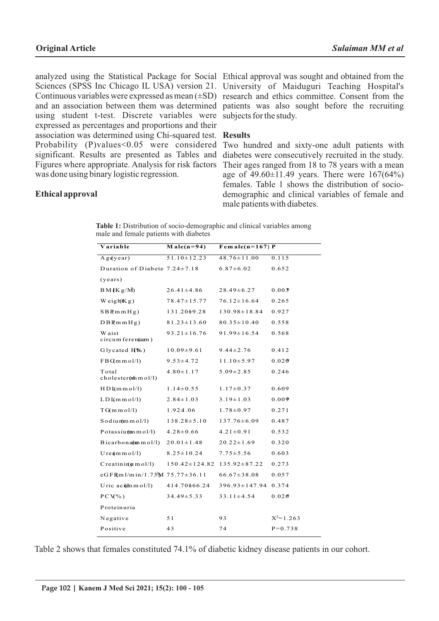analyzed using the Statistical Package for Social Ethical approval was sought and obtained from the Sciences (SPSS Inc Chicago IL USA) version 21. Continuous variables were expressed as mean  $(\pm SD)$ and an association between them was determined patients was also sought before the recruiting using student t-test. Discrete variables were expressed as percentages and proportions and their association was determined using Chi-squared test. **Results** Probability (P)values<0.05 were considered significant. Results are presented as Tables and Figures where appropriate. Analysis for risk factors was done using binary logistic regression.

University of Maiduguri Teaching Hospital's research and ethics committee. Consent from the subjects for the study.

Two hundred and sixty-one adult patients with diabetes were consecutively recruited in the study. Their ages ranged from 18 to 78 years with a mean age of  $49.60 \pm 11.49$  years. There were  $167(64\%)$ females. Table 1 shows the distribution of sociodemographic and clinical variables of female and male patients with diabetes.

### **Ethical approval**

| Table 1: Distribution of socio-demographic and clinical variables among |  |
|-------------------------------------------------------------------------|--|
| male and female patients with diabetes                                  |  |

| Variable                              | $Male(n=94)$        | Fem ale( $n=167$ ) P |               |
|---------------------------------------|---------------------|----------------------|---------------|
| $A$ g $(year)$                        | $51.10 \pm 12.23$   | $48.76 \pm 11.00$    | 0.115         |
| Duration of Diabete $7.24 \pm 7.18$   |                     | $6.87 \pm 6.02$      | 0.652         |
| (years)                               |                     |                      |               |
| BM(Kg/M)                              | $26.41 \pm 4.86$    | $28.49 \pm 6.27$     | 0.003         |
| Weigh $(Kg)$                          | $78.47 \pm 15.77$   | $76.12 \pm 16.64$    | 0.265         |
| SBRmmHg)                              | 131.20 $\pm$ 9.28   | $130.98 \pm 18.84$   | 0.927         |
| DBRmmHg)                              | $81.23 \pm 13.60$   | $80.35 \pm 10.40$    | 0.558         |
| W aist<br>circum feren(com)           | $93.21 \pm 16.76$   | $91.99 \pm 16.54$    | 0.568         |
| Glycated $H$ %)                       | $10.09 \pm 9.61$    | $9.44 \pm 2.76$      | 0.412         |
| $FBGm \, m \, o \, 1/1$               | $9.53 \pm 4.72$     | $11.10 \pm 5.97$     | 0.020         |
| Total<br>$cholester(6th m o1/1)$      | $4.80 \pm 1.17$     | $5.09 \pm 2.85$      | 0.246         |
| $HD \, \text{I}(m \, m \, o \, 1/1)$  | $1.14 \pm 0.55$     | $1.17 \pm 0.37$      | 0.609         |
| $LD \mu(m m o l/l)$                   | $2.84 \pm 1.03$     | $3.19 \pm 1.03$      | 0.009         |
| $TG(m \, m \, o1/l)$                  | 1.924.06            | $1.78 \pm 0.97$      | 0.271         |
| $S$ od iu m m ol/l)                   | $138.28 \pm 5.10$   | $137.76 \pm 6.09$    | 0.487         |
| Potassiu ${\rm (mm\,mol/l)}$          | $4.28 \pm 0.66$     | $4.21 \pm 0.91$      | 0.532         |
| $Bicarbona$ (ten mol/l)               | $20.01 \pm 1.48$    | $20.22 \pm 1.69$     | 0.320         |
| $U$ re $\pmb{\pmb{\text{m}}}$ m ol/l) | $8.25 \pm 10.24$    | $7.75 \pm 5.56$      | 0.603         |
| $C$ reatinin( $\mathfrak{m}$ m ol/l)  | $150.42 \pm 124.82$ | $135.92 \pm 87.22$   | 0.273         |
| eGFR(m1/min/1.73 M $75.77 \pm 36.11$  |                     | $66.67 \pm 38.08$    | 0.057         |
| U ric aci(dn m o $1/1$ )              | 414.70±66.24        | $396.93 \pm 147.94$  | 0.374         |
| $PCW\%$ )                             | $34.49 \pm 5.33$    | $33.11 \pm 4.54$     | 0.026         |
| Proteinuria                           |                     |                      |               |
| Negative                              | 51                  | 93                   | $X^2 = 1.263$ |
| Positive                              | 43                  | 74                   | $P = 0.738$   |

Table 2 shows that females constituted 74.1% of diabetic kidney disease patients in our cohort.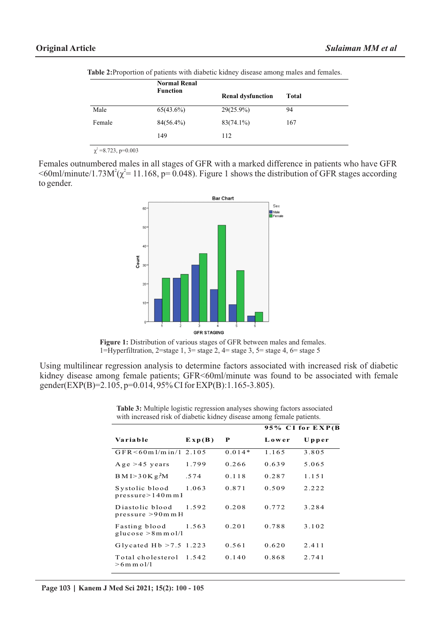|        | <b>Normal Renal</b><br><b>Function</b> | <b>Renal dysfunction</b> | <b>Total</b> |
|--------|----------------------------------------|--------------------------|--------------|
| Male   | $65(43.6\%)$                           | $29(25.9\%)$             | 94           |
| Female | $84(56.4\%)$                           | $83(74.1\%)$             | 167          |
|        | 149                                    | 112                      |              |

**Table 2:**Proportion of patients with diabetic kidney disease among males and females.

 $\chi^2$  =8.723, p=0.003

Females outnumbered males in all stages of GFR with a marked difference in patients who have GFR  $\leq 60$ ml/minute/1.73M<sup>2</sup>( $\chi^2$ = 11.168, p= 0.048). Figure 1 shows the distribution of GFR stages according to gender.



Figure 1: Distribution of various stages of GFR between males and females. 1=Hyperfiltration, 2=stage 1, 3= stage 2, 4= stage 3, 5= stage 4, 6= stage 5

Using multilinear regression analysis to determine factors associated with increased risk of diabetic kidney disease among female patients; GFR<60ml/minute was found to be associated with female gender(EXP(B)=2.105, p=0.014, 95% CI for EXP(B):1.165-3.805).

|                                        |                                            |          | 95% CI for EXP(B) |       |
|----------------------------------------|--------------------------------------------|----------|-------------------|-------|
| Variable                               | $\mathbf{E} \times \mathbf{p}(\mathbf{B})$ | P        | Lower             | Upper |
| GFR < 60m1/m in/12.105                 |                                            | $0.014*$ | 1.165             | 3.805 |
| Age $>45$ years                        | 1.799                                      | 0.266    | 0.639             | 5.065 |
| BMI > 30Kg/M                           | .574                                       | 0.118    | 0.287             | 1.151 |
| Systolic blood<br>presure > 140m m1    | 1.063                                      | 0.871    | 0.509             | 2.222 |
| Diastolic blood<br>pressure > 90m m H  | 1.592                                      | 0.208    | 0.772             | 3.284 |
| Fasting blood<br>glucose $>8$ m m ol/l | 1.563                                      | 0.201    | 0.788             | 3.102 |
| Glycated Hb $>7.5$ 1.223               |                                            | 0.561    | 0.620             | 2.411 |
| Total cholesterol<br>$>6$ m m o $1/1$  | 1.542                                      | 0.140    | 0.868             | 2.741 |

**Table 3:** Multiple logistic regression analyses showing factors associated with increased risk of diabetic kidney disease among female patients.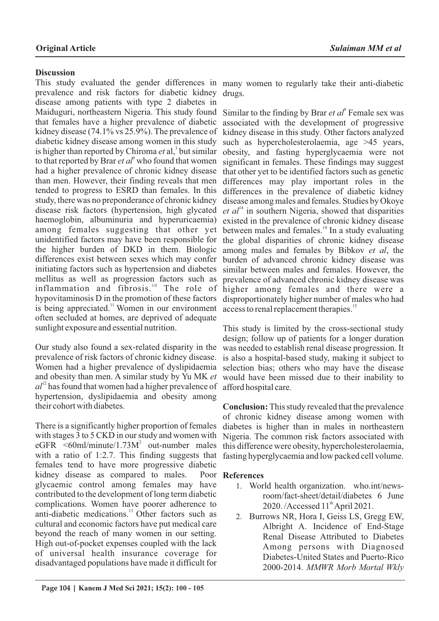## **Discussion**

This study evaluated the gender differences in many women to regularly take their anti-diabetic prevalence and risk factors for diabetic kidney disease among patients with type 2 diabetes in Maiduguri, northeastern Nigeria. This study found that females have a higher prevalence of diabetic kidney disease (74.1% vs 25.9%). The prevalence of diabetic kidney disease among women in this study is higher than reported by Chiroma *et* al,<sup>3</sup> but similar to that reported by Brar *et al*<sup>9</sup> who found that women had a higher prevalence of chronic kidney disease than men. However, their finding reveals that men tended to progress to ESRD than females. In this study, there was no preponderance of chronic kidney disease risk factors (hypertension, high glycated haemoglobin, albuminuria and hyperuricaemia) among females suggesting that other yet unidentified factors may have been responsible for the higher burden of DKD in them. Biologic differences exist between sexes which may confer initiating factors such as hypertension and diabetes mellitus as well as progression factors such as inflammation and fibrosis.<sup>10</sup> The role of hypovitaminosis D in the promotion of these factors is being appreciated. $\frac{11}{11}$  Women in our environment often secluded at homes, are deprived of adequate sunlight exposure and essential nutrition.

Our study also found a sex-related disparity in the prevalence of risk factors of chronic kidney disease. Women had a higher prevalence of dyslipidaemia and obesity than men. A similar study by Yu MK *et*   $al<sup>12</sup>$  has found that women had a higher prevalence of hypertension, dyslipidaemia and obesity among their cohort with diabetes.

There is a significantly higher proportion of females with stages 3 to 5 CKD in our study and women with  $eGFR$  <60ml/minute/1.73 $M^2$  out-number males with a ratio of 1:2.7. This finding suggests that females tend to have more progressive diabetic kidney disease as compared to males. glycaemic control among females may have contributed to the development of long term diabetic complications. Women have poorer adherence to anti-diabetic medications.<sup>13</sup> Other factors such as cultural and economic factors have put medical care beyond the reach of many women in our setting. High out-of-pocket expenses coupled with the lack of universal health insurance coverage for disadvantaged populations have made it difficult for

drugs.

Similar to the finding by Brar *et al*<sup>9</sup> Female sex was associated with the development of progressive kidney disease in this study. Other factors analyzed such as hypercholesterolaemia, age >45 years, obesity, and fasting hyperglycaemia were not significant in females. These findings may suggest that other yet to be identified factors such as genetic differences may play important roles in the differences in the prevalence of diabetic kidney disease among males and females. Studies by Okoye  $et \text{ } a l^{14}$  in southern Nigeria, showed that disparities existed in the prevalence of chronic kidney disease between males and females. $\frac{14}{10}$  In a study evaluating the global disparities of chronic kidney disease among males and females by Bibkov *et al*, the burden of advanced chronic kidney disease was similar between males and females. However, the prevalence of advanced chronic kidney disease was higher among females and there were a disproportionately higher number of males who had access to renal replacement therapies.<sup>15</sup>

This study is limited by the cross-sectional study design; follow up of patients for a longer duration was needed to establish renal disease progression. It is also a hospital-based study, making it subject to selection bias; others who may have the disease would have been missed due to their inability to afford hospital care.

**Conclusion:** This study revealed that the prevalence of chronic kidney disease among women with diabetes is higher than in males in northeastern Nigeria. The common risk factors associated with this difference were obesity, hypercholesterolaemia, fasting hyperglycaemia and low packed cell volume.

### **References**

- 1. World health organization. who.int/newsroom/fact-sheet/detail/diabetes 6 June  $2020$ . /Accessed  $11<sup>th</sup>$ April 2021.
- 2. Burrows NR, Hora I, Geiss LS, Gregg EW, Albright A. Incidence of End-Stage Renal Disease Attributed to Diabetes Among persons with Diagnosed Diabetes-United States and Puerto-Rico 2000-2014. *MMWR Morb Mortal Wkly*